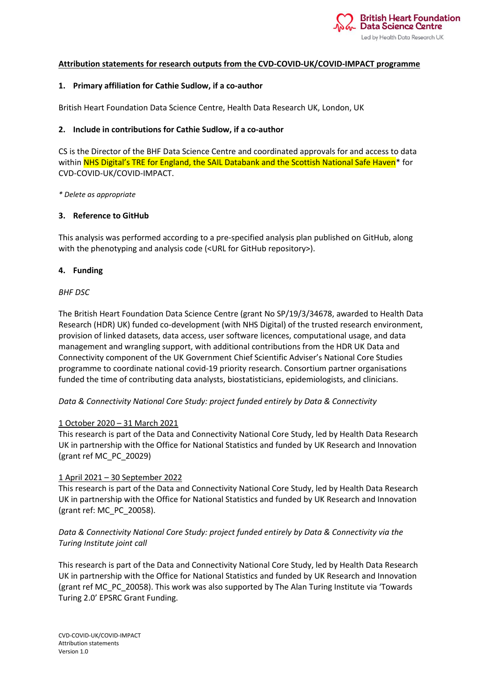

### **Attribution statements for research outputs from the CVD-COVID-UK/COVID-IMPACT programme**

### **1. Primary affiliation for Cathie Sudlow, if a co-author**

British Heart Foundation Data Science Centre, Health Data Research UK, London, UK

### **2. Include in contributions for Cathie Sudlow, if a co-author**

CS is the Director of the BHF Data Science Centre and coordinated approvals for and access to data within NHS Digital's TRE for England, the SAIL Databank and the Scottish National Safe Haven\* for CVD-COVID-UK/COVID-IMPACT.

### *\* Delete as appropriate*

## **3. Reference to GitHub**

This analysis was performed according to a pre-specified analysis plan published on GitHub, along with the phenotyping and analysis code (<URL for GitHub repository>).

## **4. Funding**

## *BHF DSC*

The British Heart Foundation Data Science Centre (grant No SP/19/3/34678, awarded to Health Data Research (HDR) UK) funded co-development (with NHS Digital) of the trusted research environment, provision of linked datasets, data access, user software licences, computational usage, and data management and wrangling support, with additional contributions from the HDR UK Data and Connectivity component of the UK Government Chief Scientific Adviser's National Core Studies programme to coordinate national covid-19 priority research. Consortium partner organisations funded the time of contributing data analysts, biostatisticians, epidemiologists, and clinicians.

*Data & Connectivity National Core Study: project funded entirely by Data & Connectivity*

### 1 October 2020 – 31 March 2021

This research is part of the Data and Connectivity National Core Study, led by Health Data Research UK in partnership with the Office for National Statistics and funded by UK Research and Innovation (grant ref MC\_PC\_20029)

### 1 April 2021 – 30 September 2022

This research is part of the Data and Connectivity National Core Study, led by Health Data Research UK in partnership with the Office for National Statistics and funded by UK Research and Innovation (grant ref: MC\_PC\_20058).

## *Data & Connectivity National Core Study: project funded entirely by Data & Connectivity via the Turing Institute joint call*

This research is part of the Data and Connectivity National Core Study, led by Health Data Research UK in partnership with the Office for National Statistics and funded by UK Research and Innovation (grant ref MC\_PC\_20058). This work was also supported by The Alan Turing Institute via 'Towards Turing 2.0' EPSRC Grant Funding.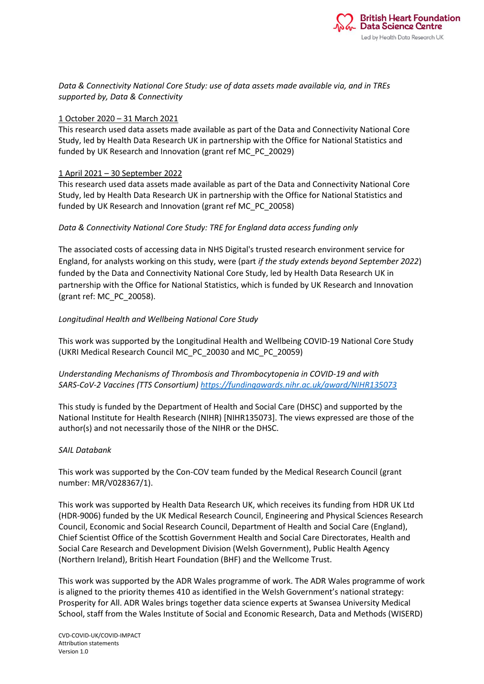

*Data & Connectivity National Core Study: use of data assets made available via, and in TREs supported by, Data & Connectivity*

### 1 October 2020 – 31 March 2021

This research used data assets made available as part of the Data and Connectivity National Core Study, led by Health Data Research UK in partnership with the Office for National Statistics and funded by UK Research and Innovation (grant ref MC\_PC\_20029)

## 1 April 2021 – 30 September 2022

This research used data assets made available as part of the Data and Connectivity National Core Study, led by Health Data Research UK in partnership with the Office for National Statistics and funded by UK Research and Innovation (grant ref MC\_PC\_20058)

## *Data & Connectivity National Core Study: TRE for England data access funding only*

The associated costs of accessing data in NHS Digital's trusted research environment service for England, for analysts working on this study, were (part *if the study extends beyond September 2022*) funded by the Data and Connectivity National Core Study, led by Health Data Research UK in partnership with the Office for National Statistics, which is funded by UK Research and Innovation (grant ref: MC\_PC\_20058).

## *Longitudinal Health and Wellbeing National Core Study*

This work was supported by the Longitudinal Health and Wellbeing COVID-19 National Core Study (UKRI Medical Research Council MC\_PC\_20030 and MC\_PC\_20059)

## *Understanding Mechanisms of Thrombosis and Thrombocytopenia in COVID-19 and with SARS-CoV-2 Vaccines (TTS Consortium[\) https://fundingawards.nihr.ac.uk/award/NIHR135073](https://fundingawards.nihr.ac.uk/award/NIHR135073)*

This study is funded by the Department of Health and Social Care (DHSC) and supported by the National Institute for Health Research (NIHR) [NIHR135073]. The views expressed are those of the author(s) and not necessarily those of the NIHR or the DHSC.

### *SAIL Databank*

This work was supported by the Con-COV team funded by the Medical Research Council (grant number: MR/V028367/1).

This work was supported by Health Data Research UK, which receives its funding from HDR UK Ltd (HDR-9006) funded by the UK Medical Research Council, Engineering and Physical Sciences Research Council, Economic and Social Research Council, Department of Health and Social Care (England), Chief Scientist Office of the Scottish Government Health and Social Care Directorates, Health and Social Care Research and Development Division (Welsh Government), Public Health Agency (Northern Ireland), British Heart Foundation (BHF) and the Wellcome Trust.

This work was supported by the ADR Wales programme of work. The ADR Wales programme of work is aligned to the priority themes 410 as identified in the Welsh Government's national strategy: Prosperity for All. ADR Wales brings together data science experts at Swansea University Medical School, staff from the Wales Institute of Social and Economic Research, Data and Methods (WISERD)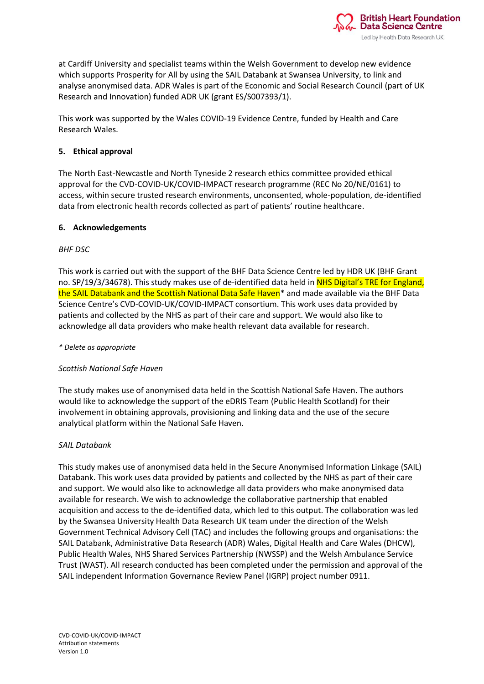

at Cardiff University and specialist teams within the Welsh Government to develop new evidence which supports Prosperity for All by using the SAIL Databank at Swansea University, to link and analyse anonymised data. ADR Wales is part of the Economic and Social Research Council (part of UK Research and Innovation) funded ADR UK (grant ES/S007393/1).

This work was supported by the Wales COVID-19 Evidence Centre, funded by Health and Care Research Wales.

### **5. Ethical approval**

The North East-Newcastle and North Tyneside 2 research ethics committee provided ethical approval for the CVD-COVID-UK/COVID-IMPACT research programme (REC No 20/NE/0161) to access, within secure trusted research environments, unconsented, whole-population, de-identified data from electronic health records collected as part of patients' routine healthcare.

### **6. Acknowledgements**

## *BHF DSC*

This work is carried out with the support of the BHF Data Science Centre led by HDR UK (BHF Grant no. SP/19/3/34678). This study makes use of de-identified data held in NHS Digital's TRE for England, the SAIL Databank and the Scottish National Data Safe Haven<sup>\*</sup> and made available via the BHF Data Science Centre's CVD-COVID-UK/COVID-IMPACT consortium. This work uses data provided by patients and collected by the NHS as part of their care and support. We would also like to acknowledge all data providers who make health relevant data available for research.

### *\* Delete as appropriate*

### *Scottish National Safe Haven*

The study makes use of anonymised data held in the Scottish National Safe Haven. The authors would like to acknowledge the support of the eDRIS Team (Public Health Scotland) for their involvement in obtaining approvals, provisioning and linking data and the use of the secure analytical platform within the National Safe Haven.

### *SAIL Databank*

This study makes use of anonymised data held in the Secure Anonymised Information Linkage (SAIL) Databank. This work uses data provided by patients and collected by the NHS as part of their care and support. We would also like to acknowledge all data providers who make anonymised data available for research. We wish to acknowledge the collaborative partnership that enabled acquisition and access to the de-identified data, which led to this output. The collaboration was led by the Swansea University Health Data Research UK team under the direction of the Welsh Government Technical Advisory Cell (TAC) and includes the following groups and organisations: the SAIL Databank, Administrative Data Research (ADR) Wales, Digital Health and Care Wales (DHCW), Public Health Wales, NHS Shared Services Partnership (NWSSP) and the Welsh Ambulance Service Trust (WAST). All research conducted has been completed under the permission and approval of the SAIL independent Information Governance Review Panel (IGRP) project number 0911.